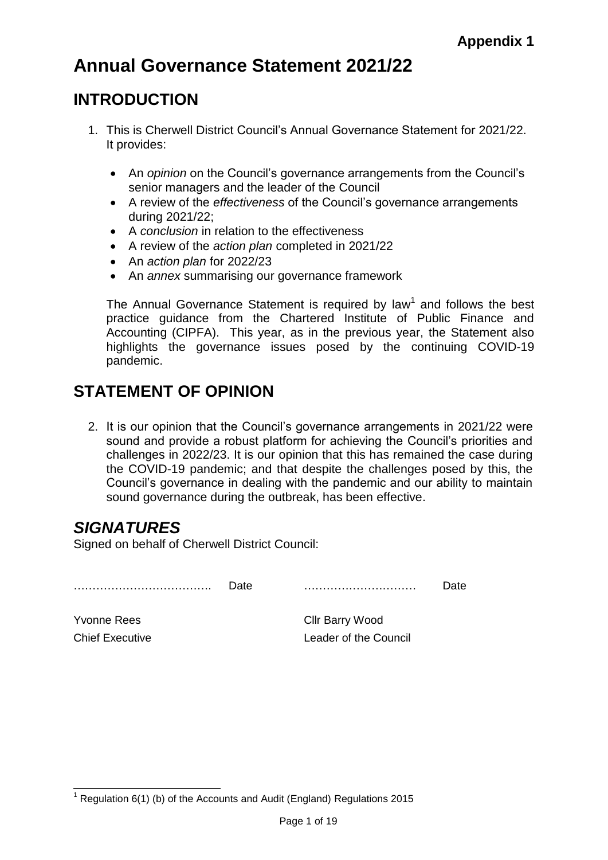# **Annual Governance Statement 2021/22**

### **INTRODUCTION**

- 1. This is Cherwell District Council's Annual Governance Statement for 2021/22. It provides:
	- An *opinion* on the Council's governance arrangements from the Council's senior managers and the leader of the Council
	- A review of the *effectiveness* of the Council's governance arrangements during 2021/22;
	- A *conclusion* in relation to the effectiveness
	- A review of the *action plan* completed in 2021/22
	- An *action plan* for 2022/23
	- An *annex* summarising our governance framework

The Annual Governance Statement is required by law<sup>1</sup> and follows the best practice guidance from the Chartered Institute of Public Finance and Accounting (CIPFA). This year, as in the previous year, the Statement also highlights the governance issues posed by the continuing COVID-19 pandemic.

## **STATEMENT OF OPINION**

2. It is our opinion that the Council's governance arrangements in 2021/22 were sound and provide a robust platform for achieving the Council's priorities and challenges in 2022/23. It is our opinion that this has remained the case during the COVID-19 pandemic; and that despite the challenges posed by this, the Council's governance in dealing with the pandemic and our ability to maintain sound governance during the outbreak, has been effective.

## *SIGNATURES*

Signed on behalf of Cherwell District Council:

………………………………. Date ………………………… Date

Yvonne Rees Clir Barry Wood **Chief Executive Chief Executive Leader of the Council** 

<sup>-</sup> $1$  Regulation 6(1) (b) of the Accounts and Audit (England) Regulations 2015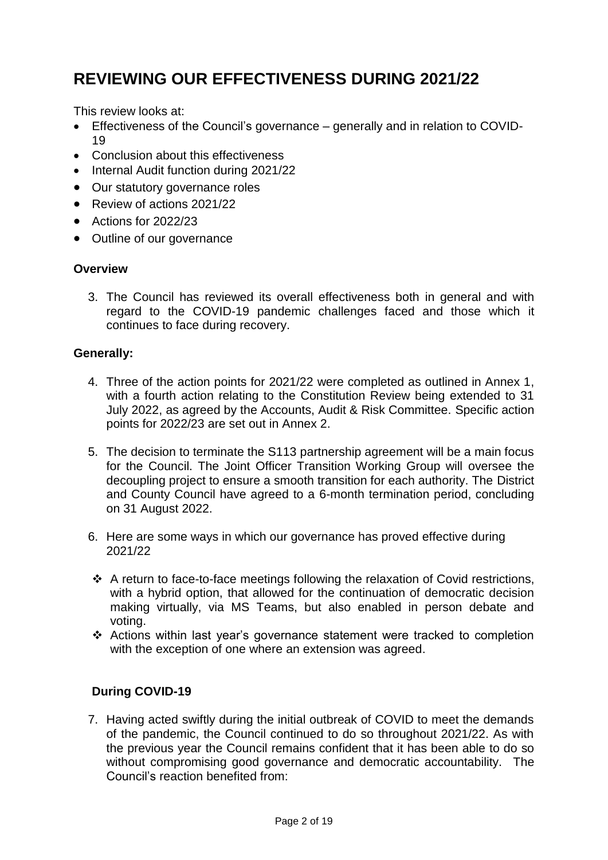## **REVIEWING OUR EFFECTIVENESS DURING 2021/22**

This review looks at:

- Effectiveness of the Council's governance generally and in relation to COVID-19
- Conclusion about this effectiveness
- Internal Audit function during 2021/22
- Our statutory governance roles
- Review of actions 2021/22
- Actions for 2022/23
- Outline of our governance

#### **Overview**

3. The Council has reviewed its overall effectiveness both in general and with regard to the COVID-19 pandemic challenges faced and those which it continues to face during recovery.

#### **Generally:**

- 4. Three of the action points for 2021/22 were completed as outlined in Annex 1, with a fourth action relating to the Constitution Review being extended to 31 July 2022, as agreed by the Accounts, Audit & Risk Committee. Specific action points for 2022/23 are set out in Annex 2.
- 5. The decision to terminate the S113 partnership agreement will be a main focus for the Council. The Joint Officer Transition Working Group will oversee the decoupling project to ensure a smooth transition for each authority. The District and County Council have agreed to a 6-month termination period, concluding on 31 August 2022.
- 6. Here are some ways in which our governance has proved effective during 2021/22
- $\div$  A return to face-to-face meetings following the relaxation of Covid restrictions, with a hybrid option, that allowed for the continuation of democratic decision making virtually, via MS Teams, but also enabled in person debate and voting.
- Actions within last year's governance statement were tracked to completion with the exception of one where an extension was agreed.

### **During COVID-19**

7. Having acted swiftly during the initial outbreak of COVID to meet the demands of the pandemic, the Council continued to do so throughout 2021/22. As with the previous year the Council remains confident that it has been able to do so without compromising good governance and democratic accountability. The Council's reaction benefited from: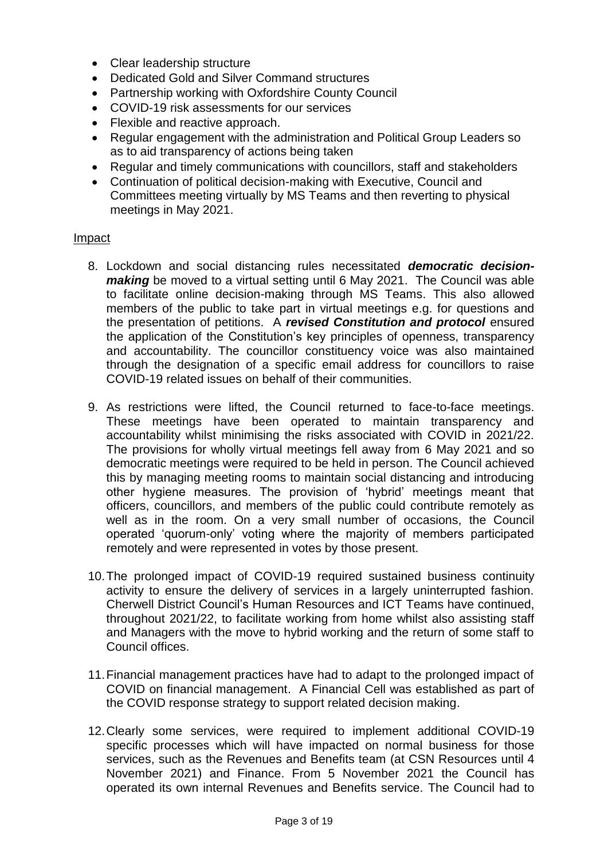- Clear leadership structure
- Dedicated Gold and Silver Command structures
- Partnership working with Oxfordshire County Council
- COVID-19 risk assessments for our services
- Flexible and reactive approach.
- Regular engagement with the administration and Political Group Leaders so as to aid transparency of actions being taken
- Regular and timely communications with councillors, staff and stakeholders
- Continuation of political decision-making with Executive, Council and Committees meeting virtually by MS Teams and then reverting to physical meetings in May 2021.

#### Impact

- 8. Lockdown and social distancing rules necessitated *democratic decisionmaking* be moved to a virtual setting until 6 May 2021. The Council was able to facilitate online decision-making through MS Teams. This also allowed members of the public to take part in virtual meetings e.g. for questions and the presentation of petitions. A *revised Constitution and protocol* ensured the application of the Constitution's key principles of openness, transparency and accountability. The councillor constituency voice was also maintained through the designation of a specific email address for councillors to raise COVID-19 related issues on behalf of their communities.
- 9. As restrictions were lifted, the Council returned to face-to-face meetings. These meetings have been operated to maintain transparency and accountability whilst minimising the risks associated with COVID in 2021/22. The provisions for wholly virtual meetings fell away from 6 May 2021 and so democratic meetings were required to be held in person. The Council achieved this by managing meeting rooms to maintain social distancing and introducing other hygiene measures. The provision of 'hybrid' meetings meant that officers, councillors, and members of the public could contribute remotely as well as in the room. On a very small number of occasions, the Council operated 'quorum-only' voting where the majority of members participated remotely and were represented in votes by those present.
- 10.The prolonged impact of COVID-19 required sustained business continuity activity to ensure the delivery of services in a largely uninterrupted fashion. Cherwell District Council's Human Resources and ICT Teams have continued, throughout 2021/22, to facilitate working from home whilst also assisting staff and Managers with the move to hybrid working and the return of some staff to Council offices.
- 11.Financial management practices have had to adapt to the prolonged impact of COVID on financial management. A Financial Cell was established as part of the COVID response strategy to support related decision making.
- 12.Clearly some services, were required to implement additional COVID-19 specific processes which will have impacted on normal business for those services, such as the Revenues and Benefits team (at CSN Resources until 4 November 2021) and Finance. From 5 November 2021 the Council has operated its own internal Revenues and Benefits service. The Council had to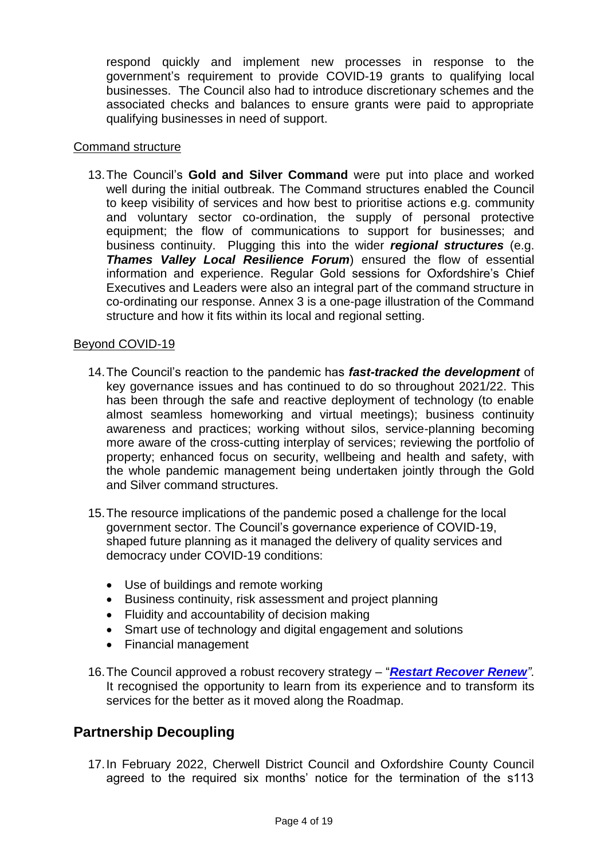respond quickly and implement new processes in response to the government's requirement to provide COVID-19 grants to qualifying local businesses. The Council also had to introduce discretionary schemes and the associated checks and balances to ensure grants were paid to appropriate qualifying businesses in need of support.

#### Command structure

13.The Council's **Gold and Silver Command** were put into place and worked well during the initial outbreak. The Command structures enabled the Council to keep visibility of services and how best to prioritise actions e.g. community and voluntary sector co-ordination, the supply of personal protective equipment; the flow of communications to support for businesses; and business continuity. Plugging this into the wider *regional structures* (e.g. *Thames Valley Local Resilience Forum*) ensured the flow of essential information and experience. Regular Gold sessions for Oxfordshire's Chief Executives and Leaders were also an integral part of the command structure in co-ordinating our response. Annex 3 is a one-page illustration of the Command structure and how it fits within its local and regional setting.

#### Beyond COVID-19

- 14.The Council's reaction to the pandemic has *fast-tracked the development* of key governance issues and has continued to do so throughout 2021/22. This has been through the safe and reactive deployment of technology (to enable almost seamless homeworking and virtual meetings); business continuity awareness and practices; working without silos, service-planning becoming more aware of the cross-cutting interplay of services; reviewing the portfolio of property; enhanced focus on security, wellbeing and health and safety, with the whole pandemic management being undertaken jointly through the Gold and Silver command structures.
- 15.The resource implications of the pandemic posed a challenge for the local government sector. The Council's governance experience of COVID-19, shaped future planning as it managed the delivery of quality services and democracy under COVID-19 conditions:
	- Use of buildings and remote working
	- Business continuity, risk assessment and project planning
	- Fluidity and accountability of decision making
	- Smart use of technology and digital engagement and solutions
	- Financial management
- 16.The Council approved a robust recovery strategy "*[Restart Recover](https://mycouncil.oxfordshire.gov.uk/ieDecisionDetails.aspx?Id=8287) Renew"*. It recognised the opportunity to learn from its experience and to transform its services for the better as it moved along the Roadmap.

### **Partnership Decoupling**

17.In February 2022, Cherwell District Council and Oxfordshire County Council agreed to the required six months' notice for the termination of the s113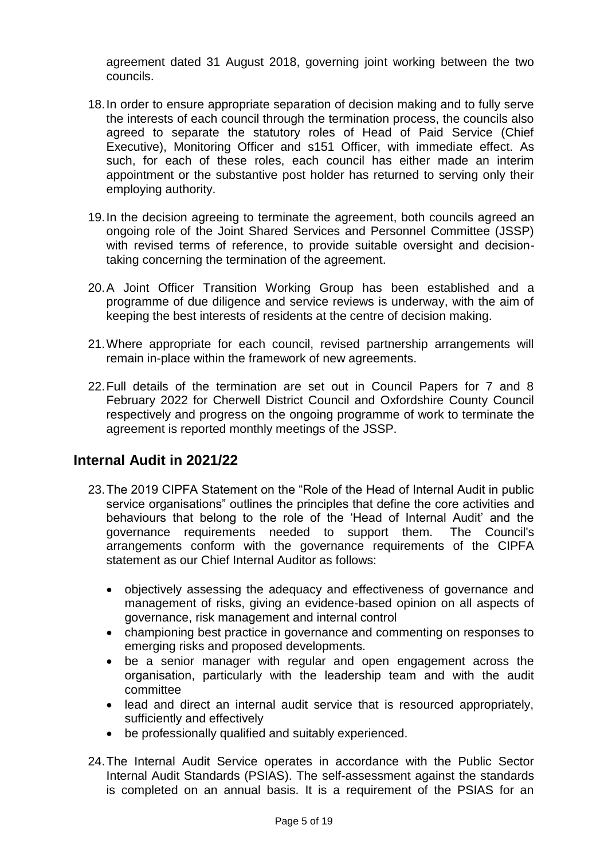agreement dated 31 August 2018, governing joint working between the two councils.

- 18.In order to ensure appropriate separation of decision making and to fully serve the interests of each council through the termination process, the councils also agreed to separate the statutory roles of Head of Paid Service (Chief Executive), Monitoring Officer and s151 Officer, with immediate effect. As such, for each of these roles, each council has either made an interim appointment or the substantive post holder has returned to serving only their employing authority.
- 19.In the decision agreeing to terminate the agreement, both councils agreed an ongoing role of the Joint Shared Services and Personnel Committee (JSSP) with revised terms of reference, to provide suitable oversight and decisiontaking concerning the termination of the agreement.
- 20.A Joint Officer Transition Working Group has been established and a programme of due diligence and service reviews is underway, with the aim of keeping the best interests of residents at the centre of decision making.
- 21.Where appropriate for each council, revised partnership arrangements will remain in-place within the framework of new agreements.
- 22.Full details of the termination are set out in Council Papers for 7 and 8 February 2022 for Cherwell District Council and Oxfordshire County Council respectively and progress on the ongoing programme of work to terminate the agreement is reported monthly meetings of the JSSP.

### **Internal Audit in 2021/22**

- 23.The 2019 CIPFA Statement on the "Role of the Head of Internal Audit in public service organisations" outlines the principles that define the core activities and behaviours that belong to the role of the 'Head of Internal Audit' and the governance requirements needed to support them. The Council's arrangements conform with the governance requirements of the CIPFA statement as our Chief Internal Auditor as follows:
	- objectively assessing the adequacy and effectiveness of governance and management of risks, giving an evidence-based opinion on all aspects of governance, risk management and internal control
	- championing best practice in governance and commenting on responses to emerging risks and proposed developments.
	- be a senior manager with regular and open engagement across the organisation, particularly with the leadership team and with the audit committee
	- lead and direct an internal audit service that is resourced appropriately, sufficiently and effectively
	- be professionally qualified and suitably experienced.
- 24.The Internal Audit Service operates in accordance with the Public Sector Internal Audit Standards (PSIAS). The self-assessment against the standards is completed on an annual basis. It is a requirement of the PSIAS for an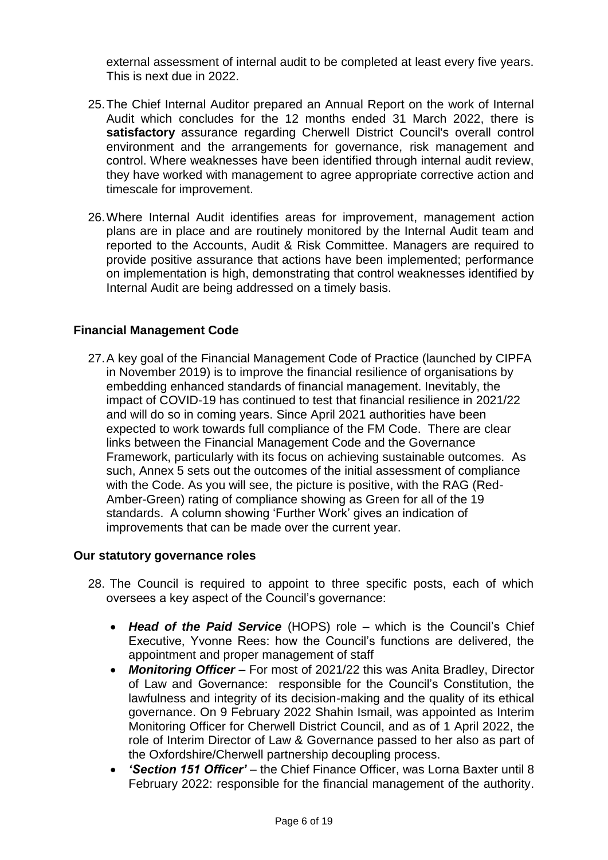external assessment of internal audit to be completed at least every five years. This is next due in 2022.

- 25.The Chief Internal Auditor prepared an Annual Report on the work of Internal Audit which concludes for the 12 months ended 31 March 2022, there is **satisfactory** assurance regarding Cherwell District Council's overall control environment and the arrangements for governance, risk management and control. Where weaknesses have been identified through internal audit review, they have worked with management to agree appropriate corrective action and timescale for improvement.
- 26.Where Internal Audit identifies areas for improvement, management action plans are in place and are routinely monitored by the Internal Audit team and reported to the Accounts, Audit & Risk Committee. Managers are required to provide positive assurance that actions have been implemented; performance on implementation is high, demonstrating that control weaknesses identified by Internal Audit are being addressed on a timely basis.

#### **Financial Management Code**

27.A key goal of the Financial Management Code of Practice (launched by CIPFA in November 2019) is to improve the financial resilience of organisations by embedding enhanced standards of financial management. Inevitably, the impact of COVID-19 has continued to test that financial resilience in 2021/22 and will do so in coming years. Since April 2021 authorities have been expected to work towards full compliance of the FM Code. There are clear links between the Financial Management Code and the Governance Framework, particularly with its focus on achieving sustainable outcomes. As such, Annex 5 sets out the outcomes of the initial assessment of compliance with the Code. As you will see, the picture is positive, with the RAG (Red-Amber-Green) rating of compliance showing as Green for all of the 19 standards. A column showing 'Further Work' gives an indication of improvements that can be made over the current year.

#### **Our statutory governance roles**

- 28. The Council is required to appoint to three specific posts, each of which oversees a key aspect of the Council's governance:
	- *Head of the Paid Service* (HOPS) role which is the Council's Chief Executive, Yvonne Rees: how the Council's functions are delivered, the appointment and proper management of staff
	- *Monitoring Officer* For most of 2021/22 this was Anita Bradley, Director of Law and Governance: responsible for the Council's Constitution, the lawfulness and integrity of its decision-making and the quality of its ethical governance. On 9 February 2022 Shahin Ismail, was appointed as Interim Monitoring Officer for Cherwell District Council, and as of 1 April 2022, the role of Interim Director of Law & Governance passed to her also as part of the Oxfordshire/Cherwell partnership decoupling process.
	- *'Section 151 Officer'*  the Chief Finance Officer, was Lorna Baxter until 8 February 2022: responsible for the financial management of the authority.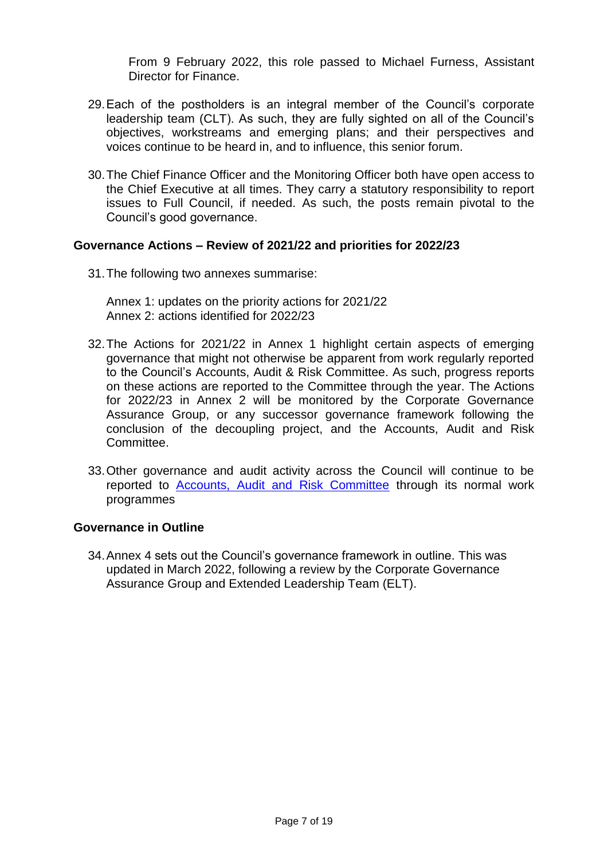From 9 February 2022, this role passed to Michael Furness, Assistant Director for Finance.

- 29.Each of the postholders is an integral member of the Council's corporate leadership team (CLT). As such, they are fully sighted on all of the Council's objectives, workstreams and emerging plans; and their perspectives and voices continue to be heard in, and to influence, this senior forum.
- 30.The Chief Finance Officer and the Monitoring Officer both have open access to the Chief Executive at all times. They carry a statutory responsibility to report issues to Full Council, if needed. As such, the posts remain pivotal to the Council's good governance.

#### **Governance Actions – Review of 2021/22 and priorities for 2022/23**

31.The following two annexes summarise:

Annex 1: updates on the priority actions for 2021/22 Annex 2: actions identified for 2022/23

- 32.The Actions for 2021/22 in Annex 1 highlight certain aspects of emerging governance that might not otherwise be apparent from work regularly reported to the Council's Accounts, Audit & Risk Committee. As such, progress reports on these actions are reported to the Committee through the year. The Actions for 2022/23 in Annex 2 will be monitored by the Corporate Governance Assurance Group, or any successor governance framework following the conclusion of the decoupling project, and the Accounts, Audit and Risk Committee.
- 33.Other governance and audit activity across the Council will continue to be reported to **[Accounts, Audit and Risk Committee](https://modgov.cherwell.gov.uk/mgCommitteeDetails.aspx?ID=118)** through its normal work programmes

#### **Governance in Outline**

34.Annex 4 sets out the Council's governance framework in outline. This was updated in March 2022, following a review by the Corporate Governance Assurance Group and Extended Leadership Team (ELT).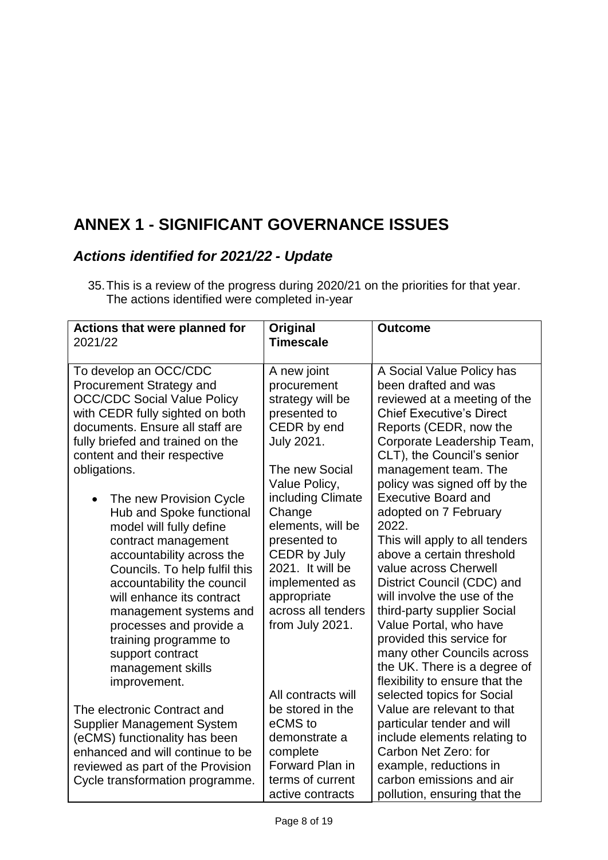# **ANNEX 1 - SIGNIFICANT GOVERNANCE ISSUES**

## *Actions identified for 2021/22 - Update*

<sup>35.</sup>This is a review of the progress during 2020/21 on the priorities for that year. The actions identified were completed in-year

| To develop an OCC/CDC<br>A new joint<br>A Social Value Policy has<br>been drafted and was<br><b>Procurement Strategy and</b><br>procurement<br><b>OCC/CDC Social Value Policy</b><br>strategy will be<br>reviewed at a meeting of the<br><b>Chief Executive's Direct</b><br>with CEDR fully sighted on both<br>presented to<br>CEDR by end<br>documents. Ensure all staff are<br>Reports (CEDR, now the<br><b>July 2021.</b><br>fully briefed and trained on the<br>Corporate Leadership Team,<br>CLT), the Council's senior<br>content and their respective<br>obligations.<br>The new Social<br>management team. The<br>Value Policy,<br>policy was signed off by the<br><b>Executive Board and</b><br>including Climate<br>The new Provision Cycle<br>$\bullet$<br>Change<br>adopted on 7 February<br>Hub and Spoke functional<br>elements, will be<br>2022.<br>model will fully define<br>presented to<br>This will apply to all tenders<br>contract management<br>CEDR by July<br>above a certain threshold<br>accountability across the<br>2021. It will be<br>value across Cherwell<br>Councils. To help fulfil this<br>District Council (CDC) and<br>implemented as<br>accountability the council<br>will involve the use of the<br>will enhance its contract<br>appropriate<br>across all tenders<br>third-party supplier Social<br>management systems and<br>Value Portal, who have<br>from July 2021.<br>processes and provide a<br>provided this service for<br>training programme to<br>many other Councils across<br>support contract<br>the UK. There is a degree of<br>management skills<br>flexibility to ensure that the<br>improvement.<br>All contracts will<br>selected topics for Social<br>be stored in the<br>Value are relevant to that<br>The electronic Contract and<br>eCMS to<br>particular tender and will<br><b>Supplier Management System</b><br>include elements relating to<br>(eCMS) functionality has been<br>demonstrate a<br>Carbon Net Zero: for<br>enhanced and will continue to be<br>complete<br>Forward Plan in<br>example, reductions in<br>reviewed as part of the Provision<br>carbon emissions and air<br>terms of current<br>Cycle transformation programme.<br>active contracts | <b>Actions that were planned for</b> | Original         | <b>Outcome</b>               |
|----------------------------------------------------------------------------------------------------------------------------------------------------------------------------------------------------------------------------------------------------------------------------------------------------------------------------------------------------------------------------------------------------------------------------------------------------------------------------------------------------------------------------------------------------------------------------------------------------------------------------------------------------------------------------------------------------------------------------------------------------------------------------------------------------------------------------------------------------------------------------------------------------------------------------------------------------------------------------------------------------------------------------------------------------------------------------------------------------------------------------------------------------------------------------------------------------------------------------------------------------------------------------------------------------------------------------------------------------------------------------------------------------------------------------------------------------------------------------------------------------------------------------------------------------------------------------------------------------------------------------------------------------------------------------------------------------------------------------------------------------------------------------------------------------------------------------------------------------------------------------------------------------------------------------------------------------------------------------------------------------------------------------------------------------------------------------------------------------------------------------------------------------------------------------------------------------------------------------------|--------------------------------------|------------------|------------------------------|
|                                                                                                                                                                                                                                                                                                                                                                                                                                                                                                                                                                                                                                                                                                                                                                                                                                                                                                                                                                                                                                                                                                                                                                                                                                                                                                                                                                                                                                                                                                                                                                                                                                                                                                                                                                                                                                                                                                                                                                                                                                                                                                                                                                                                                                  | 2021/22                              | <b>Timescale</b> |                              |
|                                                                                                                                                                                                                                                                                                                                                                                                                                                                                                                                                                                                                                                                                                                                                                                                                                                                                                                                                                                                                                                                                                                                                                                                                                                                                                                                                                                                                                                                                                                                                                                                                                                                                                                                                                                                                                                                                                                                                                                                                                                                                                                                                                                                                                  |                                      |                  |                              |
|                                                                                                                                                                                                                                                                                                                                                                                                                                                                                                                                                                                                                                                                                                                                                                                                                                                                                                                                                                                                                                                                                                                                                                                                                                                                                                                                                                                                                                                                                                                                                                                                                                                                                                                                                                                                                                                                                                                                                                                                                                                                                                                                                                                                                                  |                                      |                  |                              |
|                                                                                                                                                                                                                                                                                                                                                                                                                                                                                                                                                                                                                                                                                                                                                                                                                                                                                                                                                                                                                                                                                                                                                                                                                                                                                                                                                                                                                                                                                                                                                                                                                                                                                                                                                                                                                                                                                                                                                                                                                                                                                                                                                                                                                                  |                                      |                  |                              |
|                                                                                                                                                                                                                                                                                                                                                                                                                                                                                                                                                                                                                                                                                                                                                                                                                                                                                                                                                                                                                                                                                                                                                                                                                                                                                                                                                                                                                                                                                                                                                                                                                                                                                                                                                                                                                                                                                                                                                                                                                                                                                                                                                                                                                                  |                                      |                  |                              |
|                                                                                                                                                                                                                                                                                                                                                                                                                                                                                                                                                                                                                                                                                                                                                                                                                                                                                                                                                                                                                                                                                                                                                                                                                                                                                                                                                                                                                                                                                                                                                                                                                                                                                                                                                                                                                                                                                                                                                                                                                                                                                                                                                                                                                                  |                                      |                  |                              |
|                                                                                                                                                                                                                                                                                                                                                                                                                                                                                                                                                                                                                                                                                                                                                                                                                                                                                                                                                                                                                                                                                                                                                                                                                                                                                                                                                                                                                                                                                                                                                                                                                                                                                                                                                                                                                                                                                                                                                                                                                                                                                                                                                                                                                                  |                                      |                  |                              |
|                                                                                                                                                                                                                                                                                                                                                                                                                                                                                                                                                                                                                                                                                                                                                                                                                                                                                                                                                                                                                                                                                                                                                                                                                                                                                                                                                                                                                                                                                                                                                                                                                                                                                                                                                                                                                                                                                                                                                                                                                                                                                                                                                                                                                                  |                                      |                  |                              |
|                                                                                                                                                                                                                                                                                                                                                                                                                                                                                                                                                                                                                                                                                                                                                                                                                                                                                                                                                                                                                                                                                                                                                                                                                                                                                                                                                                                                                                                                                                                                                                                                                                                                                                                                                                                                                                                                                                                                                                                                                                                                                                                                                                                                                                  |                                      |                  |                              |
|                                                                                                                                                                                                                                                                                                                                                                                                                                                                                                                                                                                                                                                                                                                                                                                                                                                                                                                                                                                                                                                                                                                                                                                                                                                                                                                                                                                                                                                                                                                                                                                                                                                                                                                                                                                                                                                                                                                                                                                                                                                                                                                                                                                                                                  |                                      |                  |                              |
|                                                                                                                                                                                                                                                                                                                                                                                                                                                                                                                                                                                                                                                                                                                                                                                                                                                                                                                                                                                                                                                                                                                                                                                                                                                                                                                                                                                                                                                                                                                                                                                                                                                                                                                                                                                                                                                                                                                                                                                                                                                                                                                                                                                                                                  |                                      |                  |                              |
|                                                                                                                                                                                                                                                                                                                                                                                                                                                                                                                                                                                                                                                                                                                                                                                                                                                                                                                                                                                                                                                                                                                                                                                                                                                                                                                                                                                                                                                                                                                                                                                                                                                                                                                                                                                                                                                                                                                                                                                                                                                                                                                                                                                                                                  |                                      |                  |                              |
|                                                                                                                                                                                                                                                                                                                                                                                                                                                                                                                                                                                                                                                                                                                                                                                                                                                                                                                                                                                                                                                                                                                                                                                                                                                                                                                                                                                                                                                                                                                                                                                                                                                                                                                                                                                                                                                                                                                                                                                                                                                                                                                                                                                                                                  |                                      |                  |                              |
|                                                                                                                                                                                                                                                                                                                                                                                                                                                                                                                                                                                                                                                                                                                                                                                                                                                                                                                                                                                                                                                                                                                                                                                                                                                                                                                                                                                                                                                                                                                                                                                                                                                                                                                                                                                                                                                                                                                                                                                                                                                                                                                                                                                                                                  |                                      |                  |                              |
|                                                                                                                                                                                                                                                                                                                                                                                                                                                                                                                                                                                                                                                                                                                                                                                                                                                                                                                                                                                                                                                                                                                                                                                                                                                                                                                                                                                                                                                                                                                                                                                                                                                                                                                                                                                                                                                                                                                                                                                                                                                                                                                                                                                                                                  |                                      |                  |                              |
|                                                                                                                                                                                                                                                                                                                                                                                                                                                                                                                                                                                                                                                                                                                                                                                                                                                                                                                                                                                                                                                                                                                                                                                                                                                                                                                                                                                                                                                                                                                                                                                                                                                                                                                                                                                                                                                                                                                                                                                                                                                                                                                                                                                                                                  |                                      |                  |                              |
|                                                                                                                                                                                                                                                                                                                                                                                                                                                                                                                                                                                                                                                                                                                                                                                                                                                                                                                                                                                                                                                                                                                                                                                                                                                                                                                                                                                                                                                                                                                                                                                                                                                                                                                                                                                                                                                                                                                                                                                                                                                                                                                                                                                                                                  |                                      |                  |                              |
|                                                                                                                                                                                                                                                                                                                                                                                                                                                                                                                                                                                                                                                                                                                                                                                                                                                                                                                                                                                                                                                                                                                                                                                                                                                                                                                                                                                                                                                                                                                                                                                                                                                                                                                                                                                                                                                                                                                                                                                                                                                                                                                                                                                                                                  |                                      |                  |                              |
|                                                                                                                                                                                                                                                                                                                                                                                                                                                                                                                                                                                                                                                                                                                                                                                                                                                                                                                                                                                                                                                                                                                                                                                                                                                                                                                                                                                                                                                                                                                                                                                                                                                                                                                                                                                                                                                                                                                                                                                                                                                                                                                                                                                                                                  |                                      |                  |                              |
|                                                                                                                                                                                                                                                                                                                                                                                                                                                                                                                                                                                                                                                                                                                                                                                                                                                                                                                                                                                                                                                                                                                                                                                                                                                                                                                                                                                                                                                                                                                                                                                                                                                                                                                                                                                                                                                                                                                                                                                                                                                                                                                                                                                                                                  |                                      |                  |                              |
|                                                                                                                                                                                                                                                                                                                                                                                                                                                                                                                                                                                                                                                                                                                                                                                                                                                                                                                                                                                                                                                                                                                                                                                                                                                                                                                                                                                                                                                                                                                                                                                                                                                                                                                                                                                                                                                                                                                                                                                                                                                                                                                                                                                                                                  |                                      |                  |                              |
|                                                                                                                                                                                                                                                                                                                                                                                                                                                                                                                                                                                                                                                                                                                                                                                                                                                                                                                                                                                                                                                                                                                                                                                                                                                                                                                                                                                                                                                                                                                                                                                                                                                                                                                                                                                                                                                                                                                                                                                                                                                                                                                                                                                                                                  |                                      |                  |                              |
|                                                                                                                                                                                                                                                                                                                                                                                                                                                                                                                                                                                                                                                                                                                                                                                                                                                                                                                                                                                                                                                                                                                                                                                                                                                                                                                                                                                                                                                                                                                                                                                                                                                                                                                                                                                                                                                                                                                                                                                                                                                                                                                                                                                                                                  |                                      |                  |                              |
|                                                                                                                                                                                                                                                                                                                                                                                                                                                                                                                                                                                                                                                                                                                                                                                                                                                                                                                                                                                                                                                                                                                                                                                                                                                                                                                                                                                                                                                                                                                                                                                                                                                                                                                                                                                                                                                                                                                                                                                                                                                                                                                                                                                                                                  |                                      |                  |                              |
|                                                                                                                                                                                                                                                                                                                                                                                                                                                                                                                                                                                                                                                                                                                                                                                                                                                                                                                                                                                                                                                                                                                                                                                                                                                                                                                                                                                                                                                                                                                                                                                                                                                                                                                                                                                                                                                                                                                                                                                                                                                                                                                                                                                                                                  |                                      |                  |                              |
|                                                                                                                                                                                                                                                                                                                                                                                                                                                                                                                                                                                                                                                                                                                                                                                                                                                                                                                                                                                                                                                                                                                                                                                                                                                                                                                                                                                                                                                                                                                                                                                                                                                                                                                                                                                                                                                                                                                                                                                                                                                                                                                                                                                                                                  |                                      |                  |                              |
|                                                                                                                                                                                                                                                                                                                                                                                                                                                                                                                                                                                                                                                                                                                                                                                                                                                                                                                                                                                                                                                                                                                                                                                                                                                                                                                                                                                                                                                                                                                                                                                                                                                                                                                                                                                                                                                                                                                                                                                                                                                                                                                                                                                                                                  |                                      |                  |                              |
|                                                                                                                                                                                                                                                                                                                                                                                                                                                                                                                                                                                                                                                                                                                                                                                                                                                                                                                                                                                                                                                                                                                                                                                                                                                                                                                                                                                                                                                                                                                                                                                                                                                                                                                                                                                                                                                                                                                                                                                                                                                                                                                                                                                                                                  |                                      |                  |                              |
|                                                                                                                                                                                                                                                                                                                                                                                                                                                                                                                                                                                                                                                                                                                                                                                                                                                                                                                                                                                                                                                                                                                                                                                                                                                                                                                                                                                                                                                                                                                                                                                                                                                                                                                                                                                                                                                                                                                                                                                                                                                                                                                                                                                                                                  |                                      |                  |                              |
|                                                                                                                                                                                                                                                                                                                                                                                                                                                                                                                                                                                                                                                                                                                                                                                                                                                                                                                                                                                                                                                                                                                                                                                                                                                                                                                                                                                                                                                                                                                                                                                                                                                                                                                                                                                                                                                                                                                                                                                                                                                                                                                                                                                                                                  |                                      |                  |                              |
|                                                                                                                                                                                                                                                                                                                                                                                                                                                                                                                                                                                                                                                                                                                                                                                                                                                                                                                                                                                                                                                                                                                                                                                                                                                                                                                                                                                                                                                                                                                                                                                                                                                                                                                                                                                                                                                                                                                                                                                                                                                                                                                                                                                                                                  |                                      |                  | pollution, ensuring that the |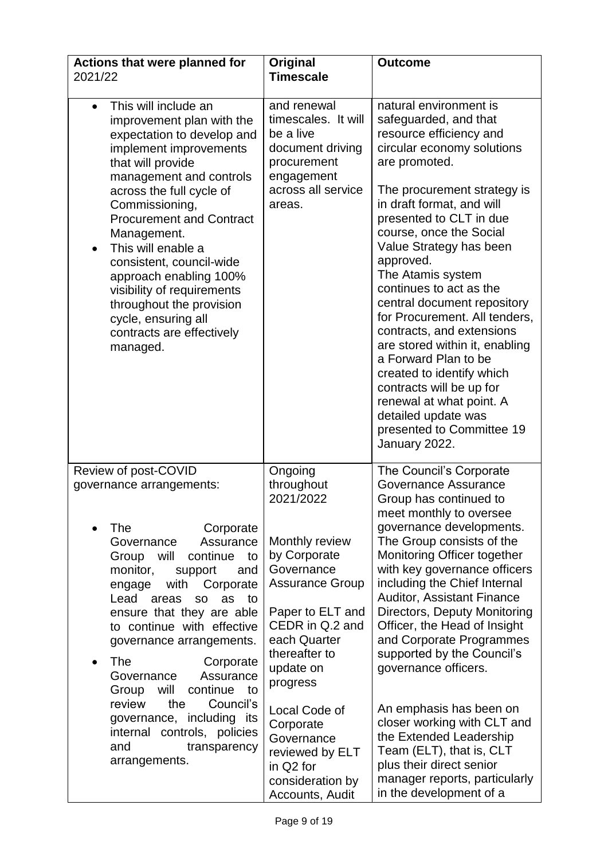| Actions that were planned for<br>2021/22                                                                                                                                                                                                                                                                                                                                                                                                                                     | Original<br><b>Timescale</b>                                                                                                                                            | <b>Outcome</b>                                                                                                                                                                                                                                                                                                                                                                                                                                                                                                                                                                                                                                       |
|------------------------------------------------------------------------------------------------------------------------------------------------------------------------------------------------------------------------------------------------------------------------------------------------------------------------------------------------------------------------------------------------------------------------------------------------------------------------------|-------------------------------------------------------------------------------------------------------------------------------------------------------------------------|------------------------------------------------------------------------------------------------------------------------------------------------------------------------------------------------------------------------------------------------------------------------------------------------------------------------------------------------------------------------------------------------------------------------------------------------------------------------------------------------------------------------------------------------------------------------------------------------------------------------------------------------------|
| This will include an<br>$\bullet$<br>improvement plan with the<br>expectation to develop and<br>implement improvements<br>that will provide<br>management and controls<br>across the full cycle of<br>Commissioning,<br><b>Procurement and Contract</b><br>Management.<br>This will enable a<br>consistent, council-wide<br>approach enabling 100%<br>visibility of requirements<br>throughout the provision<br>cycle, ensuring all<br>contracts are effectively<br>managed. | and renewal<br>timescales. It will<br>be a live<br>document driving<br>procurement<br>engagement<br>across all service<br>areas.                                        | natural environment is<br>safeguarded, and that<br>resource efficiency and<br>circular economy solutions<br>are promoted.<br>The procurement strategy is<br>in draft format, and will<br>presented to CLT in due<br>course, once the Social<br>Value Strategy has been<br>approved.<br>The Atamis system<br>continues to act as the<br>central document repository<br>for Procurement. All tenders,<br>contracts, and extensions<br>are stored within it, enabling<br>a Forward Plan to be<br>created to identify which<br>contracts will be up for<br>renewal at what point. A<br>detailed update was<br>presented to Committee 19<br>January 2022. |
| Review of post-COVID<br>governance arrangements:                                                                                                                                                                                                                                                                                                                                                                                                                             | Ongoing<br>throughout<br>2021/2022                                                                                                                                      | The Council's Corporate<br>Governance Assurance<br>Group has continued to<br>meet monthly to oversee                                                                                                                                                                                                                                                                                                                                                                                                                                                                                                                                                 |
| The<br>Corporate<br>Assurance<br>Governance<br>continue<br>Group will<br>to<br>monitor,<br>support<br>and<br>with<br>Corporate<br>engage<br>Lead<br>areas<br>as<br>to<br><b>SO</b><br>ensure that they are able<br>to continue with effective<br>governance arrangements.<br><b>The</b><br>Corporate<br>Assurance<br>Governance<br>will<br>continue<br>Group<br>to                                                                                                           | Monthly review<br>by Corporate<br>Governance<br><b>Assurance Group</b><br>Paper to ELT and<br>CEDR in Q.2 and<br>each Quarter<br>thereafter to<br>update on<br>progress | governance developments.<br>The Group consists of the<br>Monitoring Officer together<br>with key governance officers<br>including the Chief Internal<br><b>Auditor, Assistant Finance</b><br>Directors, Deputy Monitoring<br>Officer, the Head of Insight<br>and Corporate Programmes<br>supported by the Council's<br>governance officers.                                                                                                                                                                                                                                                                                                          |
| review<br>the<br>Council's<br>governance, including its<br>internal controls, policies<br>and<br>transparency<br>arrangements.                                                                                                                                                                                                                                                                                                                                               | Local Code of<br>Corporate<br>Governance<br>reviewed by ELT<br>in Q2 for<br>consideration by<br>Accounts, Audit                                                         | An emphasis has been on<br>closer working with CLT and<br>the Extended Leadership<br>Team (ELT), that is, CLT<br>plus their direct senior<br>manager reports, particularly<br>in the development of a                                                                                                                                                                                                                                                                                                                                                                                                                                                |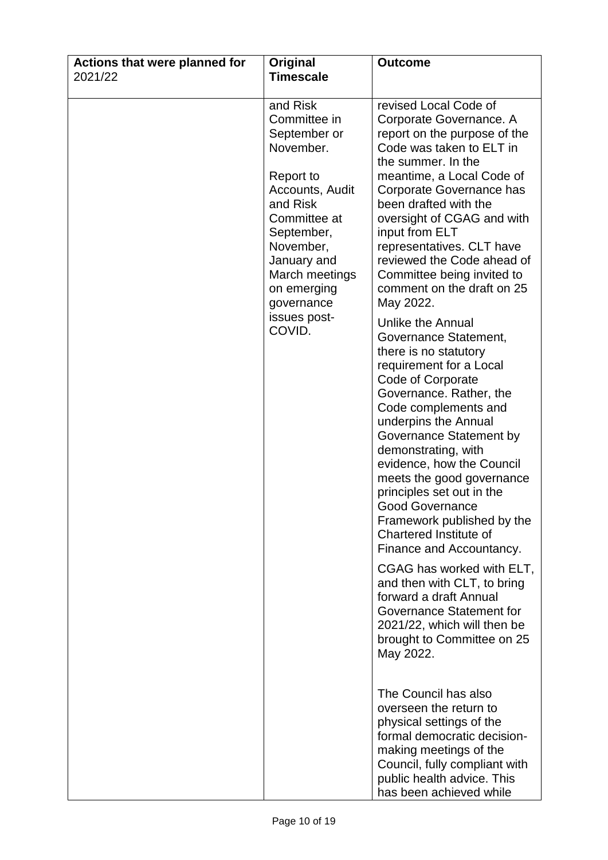| Actions that were planned for | Original                                                                                                                                                                                                                             | <b>Outcome</b>                                                                                                                                                                                                                                                                                                                                                                                                                                                                                                                                                                                                                                                                                                                                                                                                                                                                                                                                                                                                                                                       |
|-------------------------------|--------------------------------------------------------------------------------------------------------------------------------------------------------------------------------------------------------------------------------------|----------------------------------------------------------------------------------------------------------------------------------------------------------------------------------------------------------------------------------------------------------------------------------------------------------------------------------------------------------------------------------------------------------------------------------------------------------------------------------------------------------------------------------------------------------------------------------------------------------------------------------------------------------------------------------------------------------------------------------------------------------------------------------------------------------------------------------------------------------------------------------------------------------------------------------------------------------------------------------------------------------------------------------------------------------------------|
| 2021/22                       | <b>Timescale</b>                                                                                                                                                                                                                     |                                                                                                                                                                                                                                                                                                                                                                                                                                                                                                                                                                                                                                                                                                                                                                                                                                                                                                                                                                                                                                                                      |
|                               | and Risk<br>Committee in<br>September or<br>November.<br>Report to<br>Accounts, Audit<br>and Risk<br>Committee at<br>September,<br>November,<br>January and<br>March meetings<br>on emerging<br>governance<br>issues post-<br>COVID. | revised Local Code of<br>Corporate Governance. A<br>report on the purpose of the<br>Code was taken to ELT in<br>the summer. In the<br>meantime, a Local Code of<br>Corporate Governance has<br>been drafted with the<br>oversight of CGAG and with<br>input from ELT<br>representatives. CLT have<br>reviewed the Code ahead of<br>Committee being invited to<br>comment on the draft on 25<br>May 2022.<br><b>Unlike the Annual</b><br>Governance Statement,<br>there is no statutory<br>requirement for a Local<br>Code of Corporate<br>Governance. Rather, the<br>Code complements and<br>underpins the Annual<br>Governance Statement by<br>demonstrating, with<br>evidence, how the Council<br>meets the good governance<br>principles set out in the<br><b>Good Governance</b><br>Framework published by the<br>Chartered Institute of<br>Finance and Accountancy.<br>CGAG has worked with ELT,<br>and then with CLT, to bring<br>forward a draft Annual<br>Governance Statement for<br>2021/22, which will then be<br>brought to Committee on 25<br>May 2022. |
|                               |                                                                                                                                                                                                                                      | The Council has also<br>overseen the return to<br>physical settings of the<br>formal democratic decision-<br>making meetings of the<br>Council, fully compliant with<br>public health advice. This<br>has been achieved while                                                                                                                                                                                                                                                                                                                                                                                                                                                                                                                                                                                                                                                                                                                                                                                                                                        |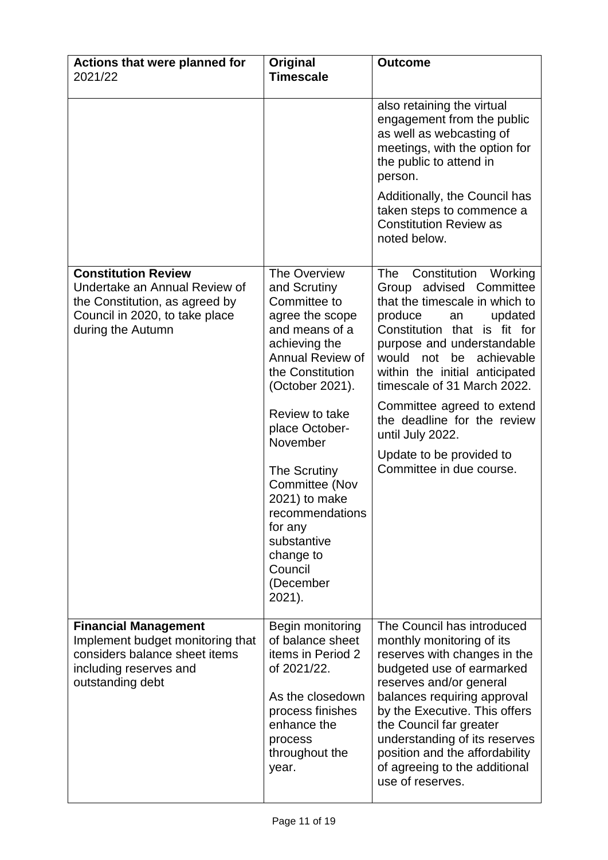| Actions that were planned for<br>2021/22                                                                                                             | Original<br><b>Timescale</b>                                                                                                                                                                                                                           | <b>Outcome</b>                                                                                                                                                                                                                                                                                                                                                                                                                |
|------------------------------------------------------------------------------------------------------------------------------------------------------|--------------------------------------------------------------------------------------------------------------------------------------------------------------------------------------------------------------------------------------------------------|-------------------------------------------------------------------------------------------------------------------------------------------------------------------------------------------------------------------------------------------------------------------------------------------------------------------------------------------------------------------------------------------------------------------------------|
|                                                                                                                                                      |                                                                                                                                                                                                                                                        | also retaining the virtual<br>engagement from the public<br>as well as webcasting of<br>meetings, with the option for<br>the public to attend in<br>person.<br>Additionally, the Council has<br>taken steps to commence a<br><b>Constitution Review as</b>                                                                                                                                                                    |
|                                                                                                                                                      |                                                                                                                                                                                                                                                        | noted below.                                                                                                                                                                                                                                                                                                                                                                                                                  |
| <b>Constitution Review</b><br>Undertake an Annual Review of<br>the Constitution, as agreed by<br>Council in 2020, to take place<br>during the Autumn | The Overview<br>and Scrutiny<br>Committee to<br>agree the scope<br>and means of a<br>achieving the<br>Annual Review of<br>the Constitution<br>(October 2021).<br>Review to take<br>place October-<br>November<br><b>The Scrutiny</b><br>Committee (Nov | Constitution Working<br>The<br>Group advised Committee<br>that the timescale in which to<br>produce<br>updated<br>an<br>Constitution that is fit for<br>purpose and understandable<br>be<br>achievable<br>would not<br>within the initial anticipated<br>timescale of 31 March 2022.<br>Committee agreed to extend<br>the deadline for the review<br>until July 2022.<br>Update to be provided to<br>Committee in due course. |
|                                                                                                                                                      | 2021) to make<br>recommendations<br>for any<br>substantive<br>change to<br>Council<br>(December<br>2021).                                                                                                                                              |                                                                                                                                                                                                                                                                                                                                                                                                                               |
| <b>Financial Management</b><br>Implement budget monitoring that<br>considers balance sheet items<br>including reserves and<br>outstanding debt       | Begin monitoring<br>of balance sheet<br>items in Period 2<br>of 2021/22.<br>As the closedown<br>process finishes<br>enhance the<br>process<br>throughout the<br>year.                                                                                  | The Council has introduced<br>monthly monitoring of its<br>reserves with changes in the<br>budgeted use of earmarked<br>reserves and/or general<br>balances requiring approval<br>by the Executive. This offers<br>the Council far greater<br>understanding of its reserves<br>position and the affordability<br>of agreeing to the additional<br>use of reserves.                                                            |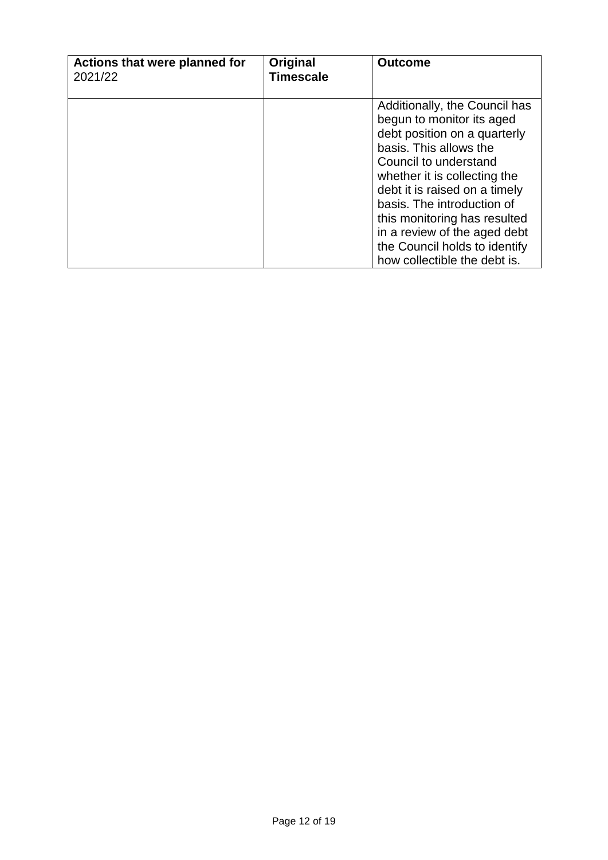| Actions that were planned for<br>2021/22 | Original<br><b>Timescale</b> | <b>Outcome</b>                                                                                                                                                                                                                                                                                                                                                                |
|------------------------------------------|------------------------------|-------------------------------------------------------------------------------------------------------------------------------------------------------------------------------------------------------------------------------------------------------------------------------------------------------------------------------------------------------------------------------|
|                                          |                              | Additionally, the Council has<br>begun to monitor its aged<br>debt position on a quarterly<br>basis. This allows the<br>Council to understand<br>whether it is collecting the<br>debt it is raised on a timely<br>basis. The introduction of<br>this monitoring has resulted<br>in a review of the aged debt<br>the Council holds to identify<br>how collectible the debt is. |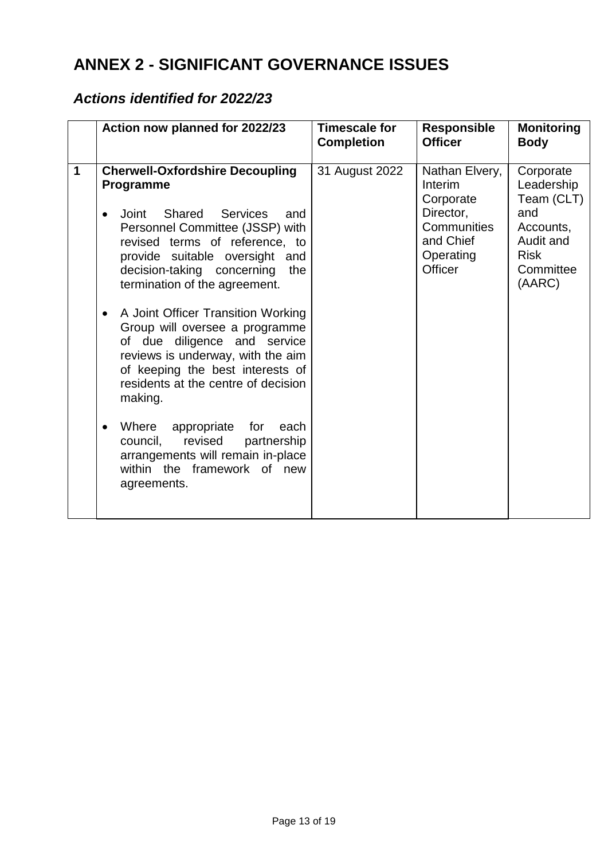# **ANNEX 2 - SIGNIFICANT GOVERNANCE ISSUES**

### *Actions identified for 2022/23*

|             | Action now planned for 2022/23                                                                                                                                                                                                                                                                                                                                                                                                                                                                                                                                                                                                                                                   | <b>Timescale for</b><br><b>Completion</b> | <b>Responsible</b><br><b>Officer</b>                                                                    | <b>Monitoring</b><br><b>Body</b>                                                                             |
|-------------|----------------------------------------------------------------------------------------------------------------------------------------------------------------------------------------------------------------------------------------------------------------------------------------------------------------------------------------------------------------------------------------------------------------------------------------------------------------------------------------------------------------------------------------------------------------------------------------------------------------------------------------------------------------------------------|-------------------------------------------|---------------------------------------------------------------------------------------------------------|--------------------------------------------------------------------------------------------------------------|
| $\mathbf 1$ | <b>Cherwell-Oxfordshire Decoupling</b><br>Programme<br>Shared<br><b>Services</b><br>Joint<br>and<br>Personnel Committee (JSSP) with<br>revised terms of reference, to<br>provide suitable oversight and<br>decision-taking concerning<br>the<br>termination of the agreement.<br>A Joint Officer Transition Working<br>Group will oversee a programme<br>of due diligence and service<br>reviews is underway, with the aim<br>of keeping the best interests of<br>residents at the centre of decision<br>making.<br>Where<br>appropriate<br>for<br>each<br>revised<br>partnership<br>council,<br>arrangements will remain in-place<br>within the framework of new<br>agreements. | 31 August 2022                            | Nathan Elvery,<br>Interim<br>Corporate<br>Director,<br>Communities<br>and Chief<br>Operating<br>Officer | Corporate<br>Leadership<br>Team (CLT)<br>and<br>Accounts,<br>Audit and<br><b>Risk</b><br>Committee<br>(AARC) |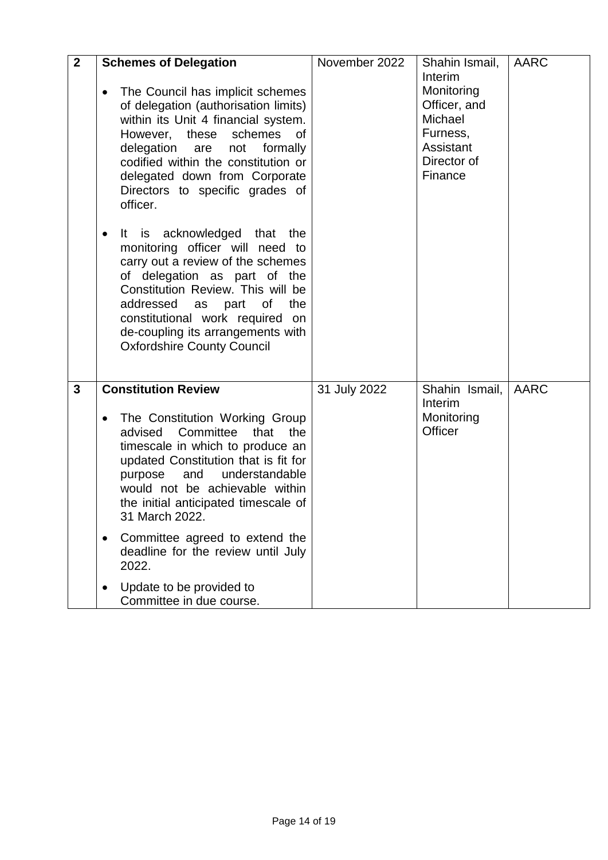| $\overline{2}$ | <b>Schemes of Delegation</b><br>The Council has implicit schemes<br>$\bullet$<br>of delegation (authorisation limits)<br>within its Unit 4 financial system.<br>However, these schemes<br>of<br>delegation are<br>not<br>formally<br>codified within the constitution or<br>delegated down from Corporate<br>Directors to specific grades of<br>officer.                                                                                                                           | November 2022 | Shahin Ismail,<br>Interim<br>Monitoring<br>Officer, and<br>Michael<br>Furness,<br>Assistant<br>Director of<br>Finance | AARC        |
|----------------|------------------------------------------------------------------------------------------------------------------------------------------------------------------------------------------------------------------------------------------------------------------------------------------------------------------------------------------------------------------------------------------------------------------------------------------------------------------------------------|---------------|-----------------------------------------------------------------------------------------------------------------------|-------------|
|                | is acknowledged that<br>the<br>It.<br>$\bullet$<br>monitoring officer will need to<br>carry out a review of the schemes<br>of delegation as part of the<br>Constitution Review. This will be<br>addressed<br>as part<br>of<br>the<br>constitutional work required on<br>de-coupling its arrangements with<br><b>Oxfordshire County Council</b>                                                                                                                                     |               |                                                                                                                       |             |
| $\mathbf{3}$   | <b>Constitution Review</b><br>The Constitution Working Group<br>$\bullet$<br>Committee<br>that<br>the<br>advised<br>timescale in which to produce an<br>updated Constitution that is fit for<br>and<br>understandable<br>purpose<br>would not be achievable within<br>the initial anticipated timescale of<br>31 March 2022.<br>Committee agreed to extend the<br>$\bullet$<br>deadline for the review until July<br>2022.<br>Update to be provided to<br>Committee in due course. | 31 July 2022  | Shahin Ismail,<br>Interim<br>Monitoring<br>Officer                                                                    | <b>AARC</b> |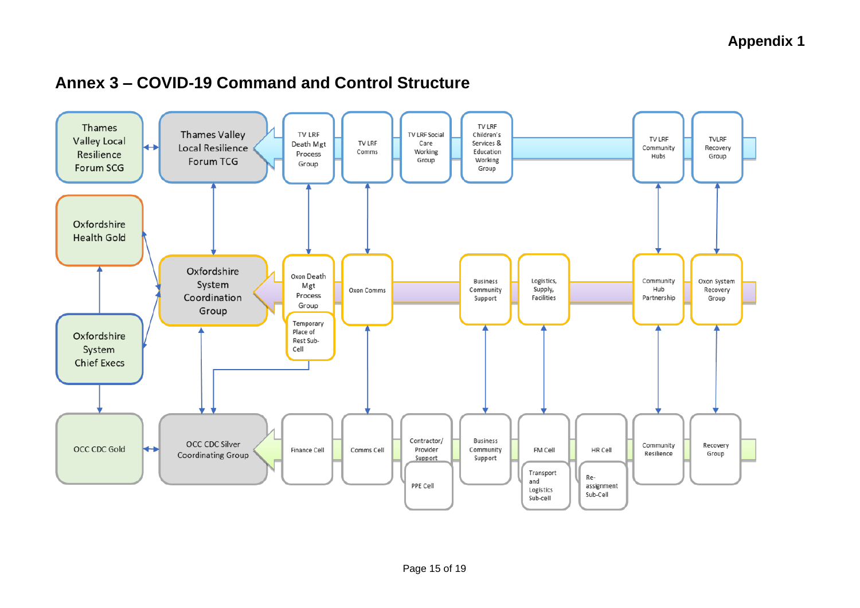### **Annex 3 – COVID-19 Command and Control Structure**

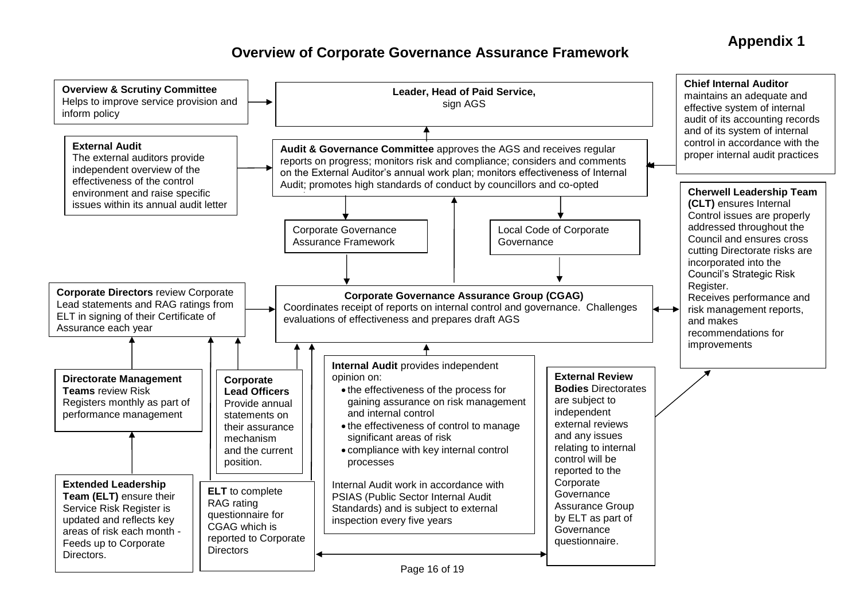### **Appendix 1**

### **Overview of Corporate Governance Assurance Framework**

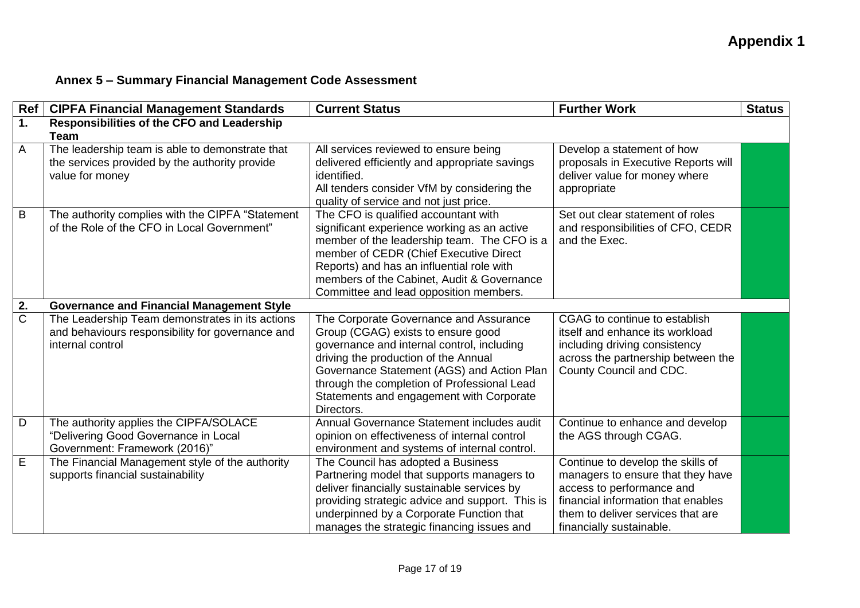### **Annex 5 – Summary Financial Management Code Assessment**

| Ref                   | <b>CIPFA Financial Management Standards</b>                                                                             | <b>Current Status</b>                                                                                                                                                                                                                                                                                                     | <b>Further Work</b>                                                                                                                                                                                        | <b>Status</b> |
|-----------------------|-------------------------------------------------------------------------------------------------------------------------|---------------------------------------------------------------------------------------------------------------------------------------------------------------------------------------------------------------------------------------------------------------------------------------------------------------------------|------------------------------------------------------------------------------------------------------------------------------------------------------------------------------------------------------------|---------------|
| 1.                    | <b>Responsibilities of the CFO and Leadership</b>                                                                       |                                                                                                                                                                                                                                                                                                                           |                                                                                                                                                                                                            |               |
|                       | <b>Team</b>                                                                                                             |                                                                                                                                                                                                                                                                                                                           |                                                                                                                                                                                                            |               |
| A                     | The leadership team is able to demonstrate that<br>the services provided by the authority provide<br>value for money    | All services reviewed to ensure being<br>delivered efficiently and appropriate savings<br>identified.<br>All tenders consider VfM by considering the<br>quality of service and not just price.                                                                                                                            | Develop a statement of how<br>proposals in Executive Reports will<br>deliver value for money where<br>appropriate                                                                                          |               |
| B                     | The authority complies with the CIPFA "Statement<br>of the Role of the CFO in Local Government"                         | The CFO is qualified accountant with<br>significant experience working as an active<br>member of the leadership team. The CFO is a<br>member of CEDR (Chief Executive Direct<br>Reports) and has an influential role with<br>members of the Cabinet, Audit & Governance<br>Committee and lead opposition members.         | Set out clear statement of roles<br>and responsibilities of CFO, CEDR<br>and the Exec.                                                                                                                     |               |
| 2.                    | <b>Governance and Financial Management Style</b>                                                                        |                                                                                                                                                                                                                                                                                                                           |                                                                                                                                                                                                            |               |
| $\overline{\text{C}}$ | The Leadership Team demonstrates in its actions<br>and behaviours responsibility for governance and<br>internal control | The Corporate Governance and Assurance<br>Group (CGAG) exists to ensure good<br>governance and internal control, including<br>driving the production of the Annual<br>Governance Statement (AGS) and Action Plan<br>through the completion of Professional Lead<br>Statements and engagement with Corporate<br>Directors. | CGAG to continue to establish<br>itself and enhance its workload<br>including driving consistency<br>across the partnership between the<br>County Council and CDC.                                         |               |
| D                     | The authority applies the CIPFA/SOLACE<br>"Delivering Good Governance in Local<br>Government: Framework (2016)"         | Annual Governance Statement includes audit<br>opinion on effectiveness of internal control<br>environment and systems of internal control.                                                                                                                                                                                | Continue to enhance and develop<br>the AGS through CGAG.                                                                                                                                                   |               |
| E                     | The Financial Management style of the authority<br>supports financial sustainability                                    | The Council has adopted a Business<br>Partnering model that supports managers to<br>deliver financially sustainable services by<br>providing strategic advice and support. This is<br>underpinned by a Corporate Function that<br>manages the strategic financing issues and                                              | Continue to develop the skills of<br>managers to ensure that they have<br>access to performance and<br>financial information that enables<br>them to deliver services that are<br>financially sustainable. |               |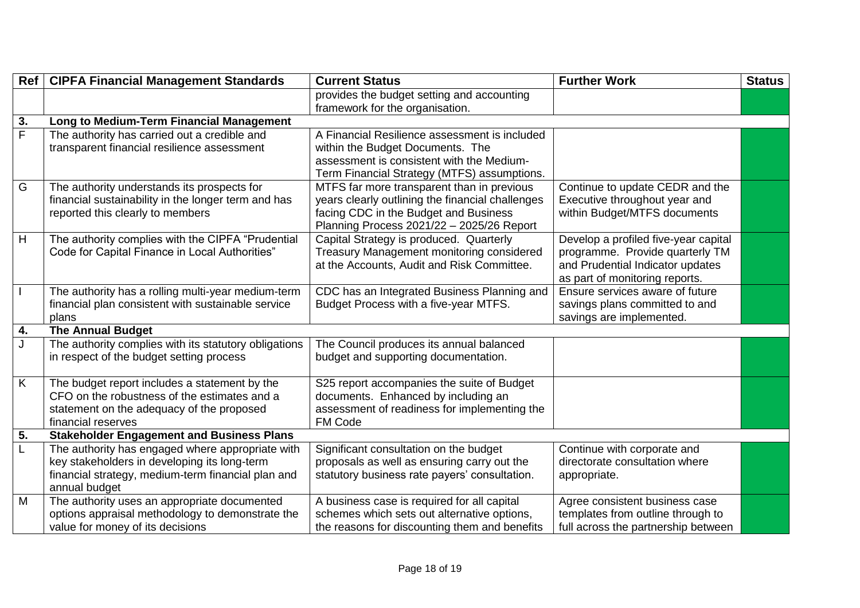|                | Ref   CIPFA Financial Management Standards            | <b>Current Status</b>                            | <b>Further Work</b>                  | <b>Status</b> |
|----------------|-------------------------------------------------------|--------------------------------------------------|--------------------------------------|---------------|
|                |                                                       | provides the budget setting and accounting       |                                      |               |
|                |                                                       | framework for the organisation.                  |                                      |               |
| 3.             | Long to Medium-Term Financial Management              |                                                  |                                      |               |
| $\overline{F}$ | The authority has carried out a credible and          | A Financial Resilience assessment is included    |                                      |               |
|                | transparent financial resilience assessment           | within the Budget Documents. The                 |                                      |               |
|                |                                                       | assessment is consistent with the Medium-        |                                      |               |
|                |                                                       | Term Financial Strategy (MTFS) assumptions.      |                                      |               |
| G              | The authority understands its prospects for           | MTFS far more transparent than in previous       | Continue to update CEDR and the      |               |
|                | financial sustainability in the longer term and has   | years clearly outlining the financial challenges | Executive throughout year and        |               |
|                | reported this clearly to members                      | facing CDC in the Budget and Business            | within Budget/MTFS documents         |               |
|                |                                                       | Planning Process 2021/22 - 2025/26 Report        |                                      |               |
| H              | The authority complies with the CIPFA "Prudential     | Capital Strategy is produced. Quarterly          | Develop a profiled five-year capital |               |
|                | Code for Capital Finance in Local Authorities"        | <b>Treasury Management monitoring considered</b> | programme. Provide quarterly TM      |               |
|                |                                                       | at the Accounts, Audit and Risk Committee.       | and Prudential Indicator updates     |               |
|                |                                                       |                                                  | as part of monitoring reports.       |               |
| $\mathbf{I}$   | The authority has a rolling multi-year medium-term    | CDC has an Integrated Business Planning and      | Ensure services aware of future      |               |
|                | financial plan consistent with sustainable service    | Budget Process with a five-year MTFS.            | savings plans committed to and       |               |
|                | plans                                                 |                                                  | savings are implemented.             |               |
| 4.             | <b>The Annual Budget</b>                              |                                                  |                                      |               |
| $\mathsf{J}$   | The authority complies with its statutory obligations | The Council produces its annual balanced         |                                      |               |
|                | in respect of the budget setting process              | budget and supporting documentation.             |                                      |               |
|                |                                                       |                                                  |                                      |               |
| $\overline{K}$ | The budget report includes a statement by the         | S25 report accompanies the suite of Budget       |                                      |               |
|                | CFO on the robustness of the estimates and a          | documents. Enhanced by including an              |                                      |               |
|                | statement on the adequacy of the proposed             | assessment of readiness for implementing the     |                                      |               |
|                | financial reserves                                    | FM Code                                          |                                      |               |
| 5.             | <b>Stakeholder Engagement and Business Plans</b>      |                                                  |                                      |               |
| $\overline{L}$ | The authority has engaged where appropriate with      | Significant consultation on the budget           | Continue with corporate and          |               |
|                | key stakeholders in developing its long-term          | proposals as well as ensuring carry out the      | directorate consultation where       |               |
|                | financial strategy, medium-term financial plan and    | statutory business rate payers' consultation.    | appropriate.                         |               |
|                | annual budget                                         |                                                  |                                      |               |
| M              | The authority uses an appropriate documented          | A business case is required for all capital      | Agree consistent business case       |               |
|                | options appraisal methodology to demonstrate the      | schemes which sets out alternative options,      | templates from outline through to    |               |
|                | value for money of its decisions                      | the reasons for discounting them and benefits    | full across the partnership between  |               |